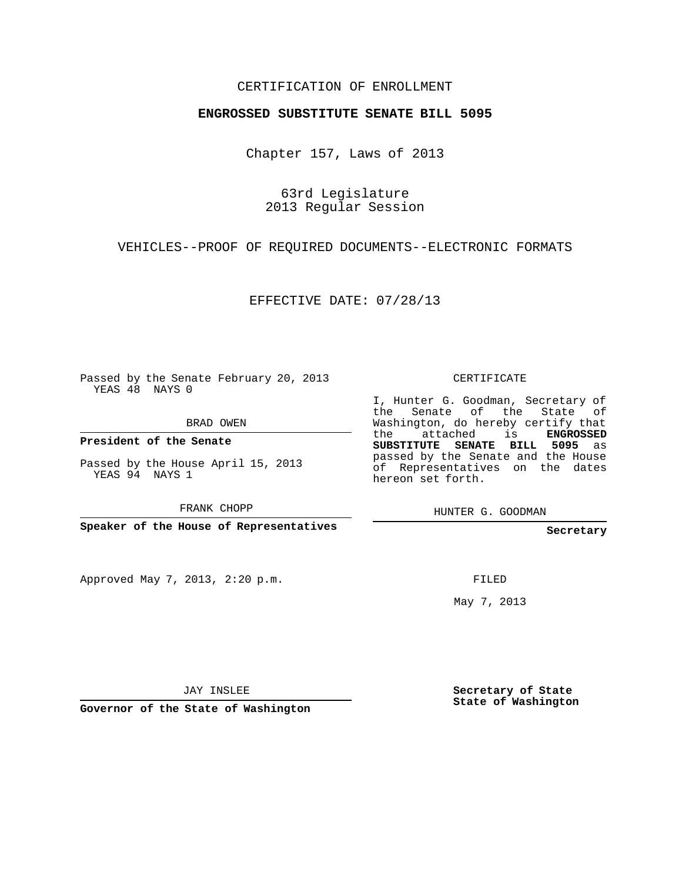## CERTIFICATION OF ENROLLMENT

## **ENGROSSED SUBSTITUTE SENATE BILL 5095**

Chapter 157, Laws of 2013

63rd Legislature 2013 Regular Session

VEHICLES--PROOF OF REQUIRED DOCUMENTS--ELECTRONIC FORMATS

EFFECTIVE DATE: 07/28/13

Passed by the Senate February 20, 2013 YEAS 48 NAYS 0

BRAD OWEN

**President of the Senate**

Passed by the House April 15, 2013 YEAS 94 NAYS 1

FRANK CHOPP

**Speaker of the House of Representatives**

Approved May 7, 2013, 2:20 p.m.

CERTIFICATE

I, Hunter G. Goodman, Secretary of the Senate of the State of Washington, do hereby certify that the attached is **ENGROSSED SUBSTITUTE SENATE BILL 5095** as passed by the Senate and the House of Representatives on the dates hereon set forth.

HUNTER G. GOODMAN

**Secretary**

FILED

May 7, 2013

**Secretary of State State of Washington**

JAY INSLEE

**Governor of the State of Washington**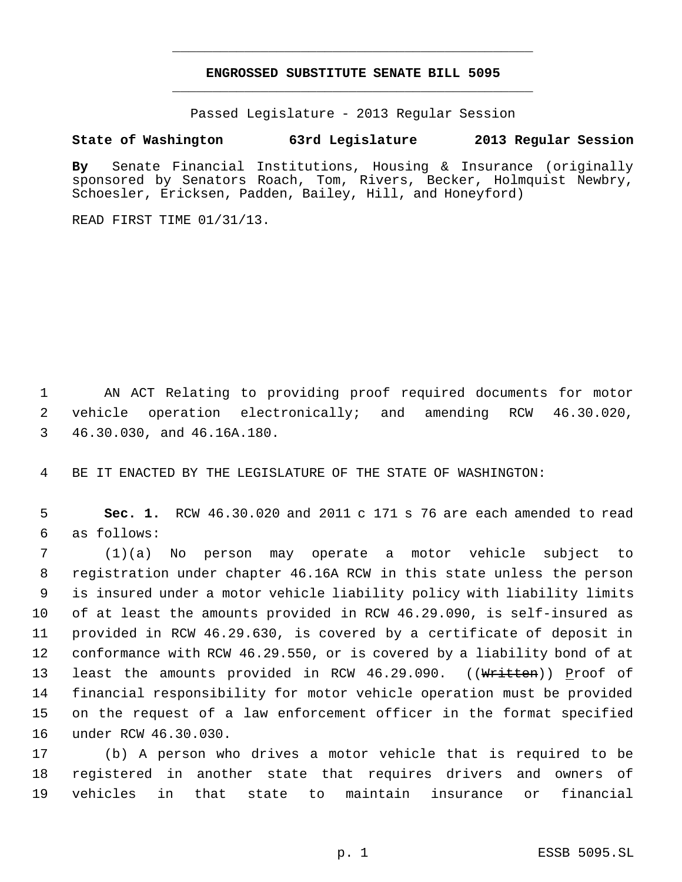## **ENGROSSED SUBSTITUTE SENATE BILL 5095** \_\_\_\_\_\_\_\_\_\_\_\_\_\_\_\_\_\_\_\_\_\_\_\_\_\_\_\_\_\_\_\_\_\_\_\_\_\_\_\_\_\_\_\_\_

\_\_\_\_\_\_\_\_\_\_\_\_\_\_\_\_\_\_\_\_\_\_\_\_\_\_\_\_\_\_\_\_\_\_\_\_\_\_\_\_\_\_\_\_\_

Passed Legislature - 2013 Regular Session

## **State of Washington 63rd Legislature 2013 Regular Session**

**By** Senate Financial Institutions, Housing & Insurance (originally sponsored by Senators Roach, Tom, Rivers, Becker, Holmquist Newbry, Schoesler, Ericksen, Padden, Bailey, Hill, and Honeyford)

READ FIRST TIME 01/31/13.

 AN ACT Relating to providing proof required documents for motor vehicle operation electronically; and amending RCW 46.30.020, 46.30.030, and 46.16A.180.

BE IT ENACTED BY THE LEGISLATURE OF THE STATE OF WASHINGTON:

 **Sec. 1.** RCW 46.30.020 and 2011 c 171 s 76 are each amended to read as follows:

 (1)(a) No person may operate a motor vehicle subject to registration under chapter 46.16A RCW in this state unless the person is insured under a motor vehicle liability policy with liability limits of at least the amounts provided in RCW 46.29.090, is self-insured as provided in RCW 46.29.630, is covered by a certificate of deposit in conformance with RCW 46.29.550, or is covered by a liability bond of at 13 least the amounts provided in RCW 46.29.090. ((Written)) Proof of financial responsibility for motor vehicle operation must be provided on the request of a law enforcement officer in the format specified under RCW 46.30.030.

 (b) A person who drives a motor vehicle that is required to be registered in another state that requires drivers and owners of vehicles in that state to maintain insurance or financial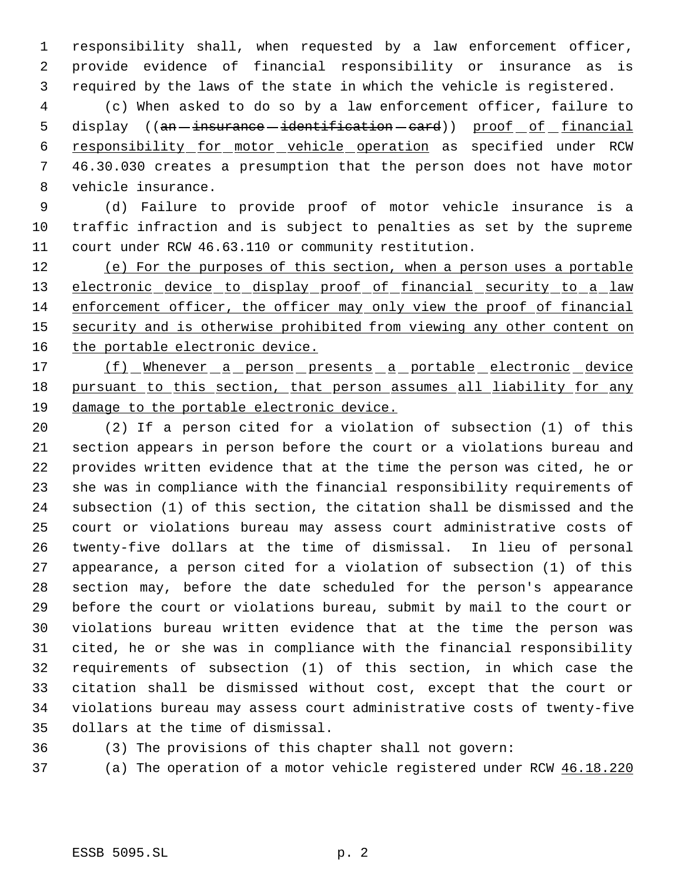responsibility shall, when requested by a law enforcement officer, provide evidence of financial responsibility or insurance as is required by the laws of the state in which the vehicle is registered.

 (c) When asked to do so by a law enforcement officer, failure to 5 display ((an - insurance - identification - card)) proof of financial responsibility for motor vehicle operation as specified under RCW 46.30.030 creates a presumption that the person does not have motor vehicle insurance.

 (d) Failure to provide proof of motor vehicle insurance is a traffic infraction and is subject to penalties as set by the supreme court under RCW 46.63.110 or community restitution.

 (e) For the purposes of this section, when a person uses a portable 13 electronic device to display proof of financial security to a law enforcement officer, the officer may only view the proof of financial 15 security and is otherwise prohibited from viewing any other content on 16 the portable electronic device.

17 (f) Whenever a person presents a portable electronic device 18 pursuant to this section, that person assumes all liability for any damage to the portable electronic device.

 (2) If a person cited for a violation of subsection (1) of this section appears in person before the court or a violations bureau and provides written evidence that at the time the person was cited, he or she was in compliance with the financial responsibility requirements of subsection (1) of this section, the citation shall be dismissed and the court or violations bureau may assess court administrative costs of twenty-five dollars at the time of dismissal. In lieu of personal appearance, a person cited for a violation of subsection (1) of this section may, before the date scheduled for the person's appearance before the court or violations bureau, submit by mail to the court or violations bureau written evidence that at the time the person was cited, he or she was in compliance with the financial responsibility requirements of subsection (1) of this section, in which case the citation shall be dismissed without cost, except that the court or violations bureau may assess court administrative costs of twenty-five dollars at the time of dismissal.

(3) The provisions of this chapter shall not govern:

(a) The operation of a motor vehicle registered under RCW 46.18.220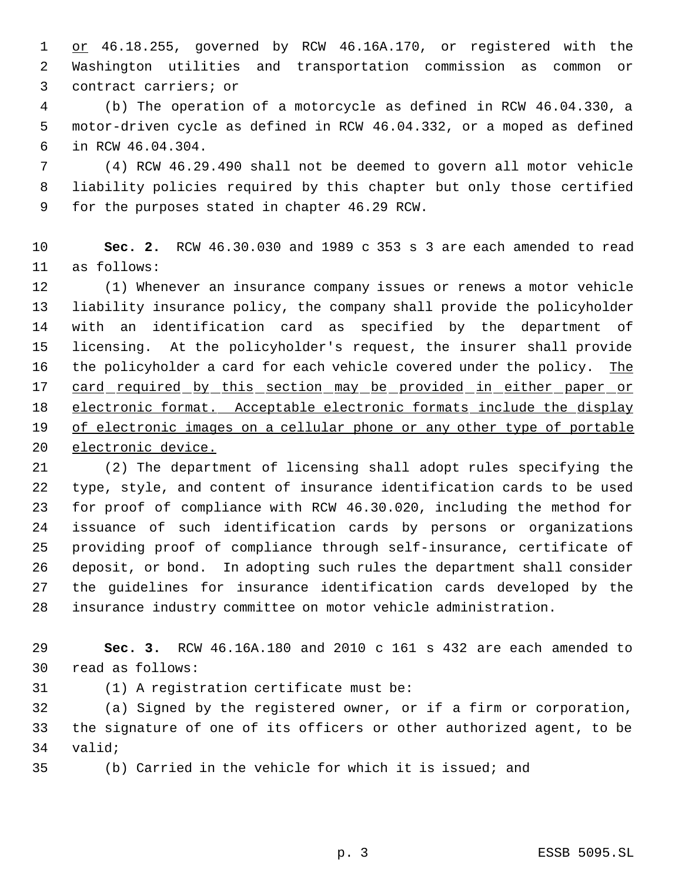1 or 46.18.255, governed by RCW 46.16A.170, or registered with the Washington utilities and transportation commission as common or contract carriers; or

 (b) The operation of a motorcycle as defined in RCW 46.04.330, a motor-driven cycle as defined in RCW 46.04.332, or a moped as defined in RCW 46.04.304.

 (4) RCW 46.29.490 shall not be deemed to govern all motor vehicle liability policies required by this chapter but only those certified for the purposes stated in chapter 46.29 RCW.

 **Sec. 2.** RCW 46.30.030 and 1989 c 353 s 3 are each amended to read as follows:

 (1) Whenever an insurance company issues or renews a motor vehicle liability insurance policy, the company shall provide the policyholder with an identification card as specified by the department of licensing. At the policyholder's request, the insurer shall provide 16 the policyholder a card for each vehicle covered under the policy. The 17 card required by this section may be provided in either paper or electronic format. Acceptable electronic formats include the display 19 of electronic images on a cellular phone or any other type of portable electronic device.

 (2) The department of licensing shall adopt rules specifying the type, style, and content of insurance identification cards to be used for proof of compliance with RCW 46.30.020, including the method for issuance of such identification cards by persons or organizations providing proof of compliance through self-insurance, certificate of deposit, or bond. In adopting such rules the department shall consider the guidelines for insurance identification cards developed by the insurance industry committee on motor vehicle administration.

 **Sec. 3.** RCW 46.16A.180 and 2010 c 161 s 432 are each amended to read as follows:

(1) A registration certificate must be:

 (a) Signed by the registered owner, or if a firm or corporation, the signature of one of its officers or other authorized agent, to be valid;

(b) Carried in the vehicle for which it is issued; and